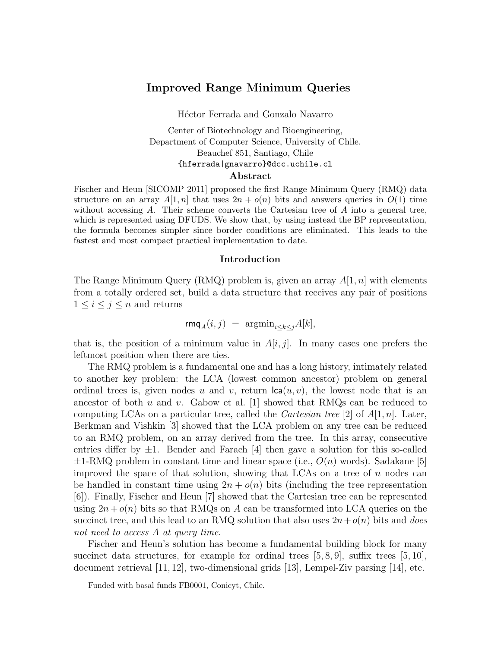# Improved Range Minimum Queries

Héctor Ferrada and Gonzalo Navarro

# Center of Biotechnology and Bioengineering, Department of Computer Science, University of Chile. Beauchef 851, Santiago, Chile {hferrada|gnavarro}@dcc.uchile.cl

### Abstract

Fischer and Heun [SICOMP 2011] proposed the first Range Minimum Query (RMQ) data structure on an array  $A[1,n]$  that uses  $2n + o(n)$  bits and answers queries in  $O(1)$  time without accessing  $A$ . Their scheme converts the Cartesian tree of  $A$  into a general tree, which is represented using DFUDS. We show that, by using instead the BP representation, the formula becomes simpler since border conditions are eliminated. This leads to the fastest and most compact practical implementation to date.

#### Introduction

The Range Minimum Query (RMQ) problem is, given an array  $A[1, n]$  with elements from a totally ordered set, build a data structure that receives any pair of positions  $1 \leq i \leq j \leq n$  and returns

$$
\mathsf{rmq}_A(i,j) = \operatorname{argmin}_{i \le k \le j} A[k],
$$

that is, the position of a minimum value in  $A[i, j]$ . In many cases one prefers the leftmost position when there are ties.

The RMQ problem is a fundamental one and has a long history, intimately related to another key problem: the LCA (lowest common ancestor) problem on general ordinal trees is, given nodes u and v, return  $lca(u, v)$ , the lowest node that is an ancestor of both u and v. Gabow et al.  $|1|$  showed that RMQs can be reduced to computing LCAs on a particular tree, called the *Cartesian tree* [2] of  $A[1, n]$ . Later, Berkman and Vishkin [3] showed that the LCA problem on any tree can be reduced to an RMQ problem, on an array derived from the tree. In this array, consecutive entries differ by  $\pm 1$ . Bender and Farach [4] then gave a solution for this so-called  $\pm 1\text{-RMQ}$  problem in constant time and linear space (i.e.,  $O(n)$  words). Sadakane [5] improved the space of that solution, showing that LCAs on a tree of  $n$  nodes can be handled in constant time using  $2n + o(n)$  bits (including the tree representation [6]). Finally, Fischer and Heun [7] showed that the Cartesian tree can be represented using  $2n + o(n)$  bits so that RMQs on A can be transformed into LCA queries on the succinct tree, and this lead to an RMQ solution that also uses  $2n+o(n)$  bits and does not need to access A at query time.

Fischer and Heun's solution has become a fundamental building block for many succinct data structures, for example for ordinal trees  $[5, 8, 9]$ , suffix trees  $[5, 10]$ , document retrieval [11, 12], two-dimensional grids [13], Lempel-Ziv parsing [14], etc.

Funded with basal funds FB0001, Conicyt, Chile.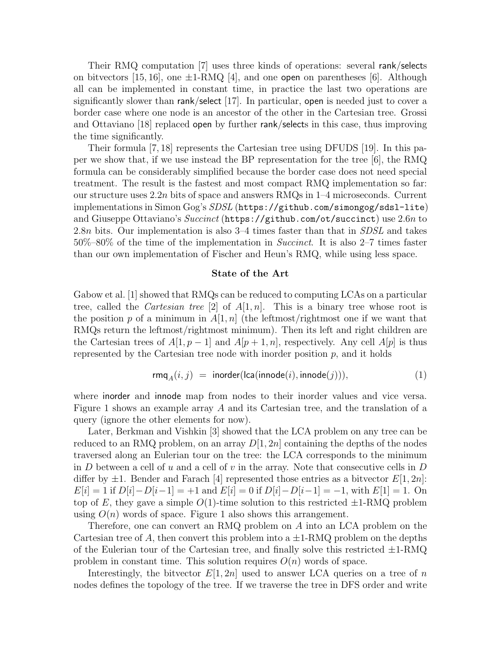Their RMQ computation [7] uses three kinds of operations: several rank/selects on bitvectors [15, 16], one  $\pm$ 1-RMQ [4], and one open on parentheses [6]. Although all can be implemented in constant time, in practice the last two operations are significantly slower than rank/select [17]. In particular, open is needed just to cover a border case where one node is an ancestor of the other in the Cartesian tree. Grossi and Ottaviano [18] replaced open by further rank/selects in this case, thus improving the time significantly.

Their formula [7, 18] represents the Cartesian tree using DFUDS [19]. In this paper we show that, if we use instead the BP representation for the tree  $|6|$ , the RMQ formula can be considerably simplified because the border case does not need special treatment. The result is the fastest and most compact RMQ implementation so far: our structure uses 2.2n bits of space and answers RMQs in 1–4 microseconds. Current implementations in Simon Gog's SDSL (https://github.com/simongog/sdsl-lite) and Giuseppe Ottaviano's Succinct (https://github.com/ot/succinct) use 2.6n to 2.8n bits. Our implementation is also 3–4 times faster than that in *SDSL* and takes 50%–80% of the time of the implementation in Succinct. It is also 2–7 times faster than our own implementation of Fischer and Heun's RMQ, while using less space.

#### State of the Art

Gabow et al. [1] showed that RMQs can be reduced to computing LCAs on a particular tree, called the *Cartesian tree* [2] of  $A[1, n]$ . This is a binary tree whose root is the position p of a minimum in  $A[1, n]$  (the leftmost/rightmost one if we want that RMQs return the leftmost/rightmost minimum). Then its left and right children are the Cartesian trees of  $A[1, p-1]$  and  $A[p+1, n]$ , respectively. Any cell  $A[p]$  is thus represented by the Cartesian tree node with inorder position  $p$ , and it holds

$$
rmqA(i, j) = inorder(lca(innode(i), innode(j))), \qquad (1)
$$

where inorder and innode map from nodes to their inorder values and vice versa. Figure 1 shows an example array A and its Cartesian tree, and the translation of a query (ignore the other elements for now).

Later, Berkman and Vishkin [3] showed that the LCA problem on any tree can be reduced to an RMQ problem, on an array  $D[1, 2n]$  containing the depths of the nodes traversed along an Eulerian tour on the tree: the LCA corresponds to the minimum in  $D$  between a cell of  $u$  and a cell of  $v$  in the array. Note that consecutive cells in  $D$ differ by  $\pm 1$ . Bender and Farach [4] represented those entries as a bitvector  $E[1, 2n]$ :  $E[i] = 1$  if  $D[i] - D[i-1] = +1$  and  $E[i] = 0$  if  $D[i] - D[i-1] = -1$ , with  $E[1] = 1$ . On top of E, they gave a simple  $O(1)$ -time solution to this restricted  $\pm 1\text{-RMQ}$  problem using  $O(n)$  words of space. Figure 1 also shows this arrangement.

Therefore, one can convert an RMQ problem on A into an LCA problem on the Cartesian tree of A, then convert this problem into a  $\pm 1\text{-}RMQ$  problem on the depths of the Eulerian tour of the Cartesian tree, and finally solve this restricted  $\pm 1\text{-RMQ}$ problem in constant time. This solution requires  $O(n)$  words of space.

Interestingly, the bitvector  $E[1, 2n]$  used to answer LCA queries on a tree of n nodes defines the topology of the tree. If we traverse the tree in DFS order and write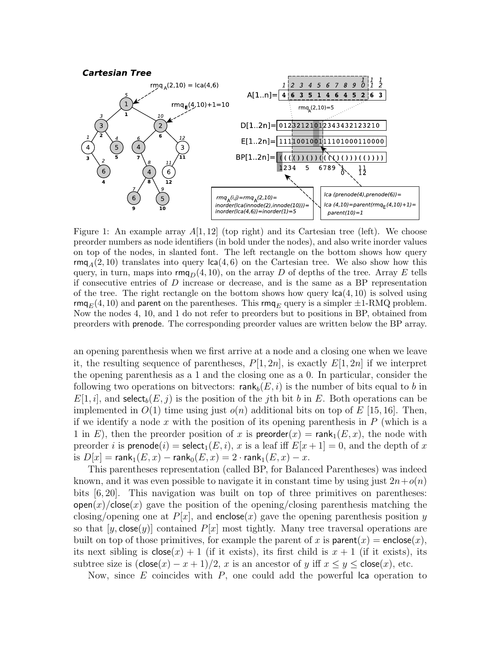

Figure 1: An example array  $A[1, 12]$  (top right) and its Cartesian tree (left). We choose preorder numbers as node identifiers (in bold under the nodes), and also write inorder values on top of the nodes, in slanted font. The left rectangle on the bottom shows how query rmg<sub>A</sub> $(2, 10)$  translates into query  $\text{lca}(4, 6)$  on the Cartesian tree. We also show how this query, in turn, maps into  $\mathsf{rmq}_D(4, 10)$ , on the array D of depths of the tree. Array E tells if consecutive entries of  $D$  increase or decrease, and is the same as a BP representation of the tree. The right rectangle on the bottom shows how query  $\text{lc}(4, 10)$  is solved using rmq<sub>E</sub>(4, 10) and parent on the parentheses. This rmq<sub>E</sub> query is a simpler  $\pm$ 1-RMQ problem. Now the nodes 4, 10, and 1 do not refer to preorders but to positions in BP, obtained from preorders with prenode. The corresponding preorder values are written below the BP array.

an opening parenthesis when we first arrive at a node and a closing one when we leave it, the resulting sequence of parentheses,  $P[1, 2n]$ , is exactly  $E[1, 2n]$  if we interpret the opening parenthesis as a 1 and the closing one as a 0. In particular, consider the following two operations on bitvectors:  $rank_b(E, i)$  is the number of bits equal to b in  $E[1, i]$ , and select<sub>b</sub> $(E, j)$  is the position of the jth bit b in E. Both operations can be implemented in  $O(1)$  time using just  $o(n)$  additional bits on top of E [15, 16]. Then, if we identify a node x with the position of its opening parenthesis in  $P$  (which is a 1 in E), then the preorder position of x is  $\mathsf{preorder}(x) = \mathsf{rank}_1(E, x)$ , the node with preorder i is prenode(i) = select<sub>1</sub>(E, i), x is a leaf iff  $E[x+1] = 0$ , and the depth of x is  $D[x] = \text{rank}_1(E, x) - \text{rank}_0(E, x) = 2 \cdot \text{rank}_1(E, x) - x$ .

This parentheses representation (called BP, for Balanced Parentheses) was indeed known, and it was even possible to navigate it in constant time by using just  $2n+o(n)$ bits [6, 20]. This navigation was built on top of three primitives on parentheses:  $open(x)/close(x)$  gave the position of the opening/closing parenthesis matching the closing/opening one at  $P[x]$ , and enclose(x) gave the opening parenthesis position y so that  $[y, close(y)]$  contained  $P[x]$  most tightly. Many tree traversal operations are built on top of those primitives, for example the parent of x is parent $(x)$  = enclose $(x)$ , its next sibling is  $\text{close}(x) + 1$  (if it exists), its first child is  $x + 1$  (if it exists), its subtree size is  $(\text{close}(x) - x + 1)/2$ , x is an ancestor of y iff  $x \le y \le \text{close}(x)$ , etc.

Now, since  $E$  coincides with  $P$ , one could add the powerful lca operation to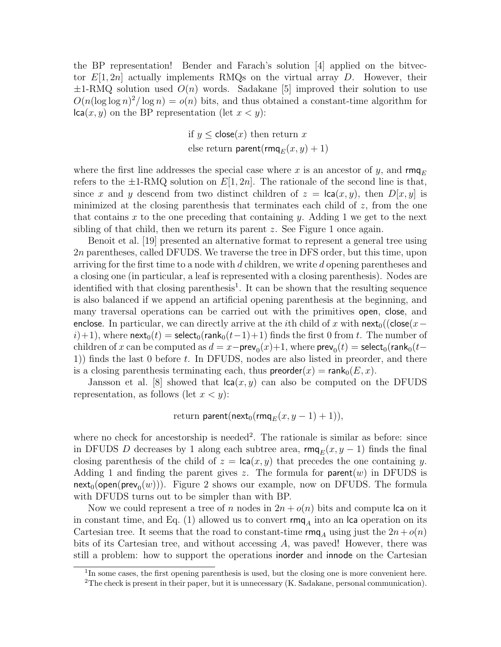the BP representation! Bender and Farach's solution [4] applied on the bitvector  $E[1, 2n]$  actually implements RMQs on the virtual array D. However, their  $\pm 1$ -RMQ solution used  $O(n)$  words. Sadakane [5] improved their solution to use  $O(n(\log \log n)^2/\log n) = o(n)$  bits, and thus obtained a constant-time algorithm for  $lca(x, y)$  on the BP representation (let  $x < y$ ):

> if  $y \leq$  close $(x)$  then return x else return parent( $\mathsf{rmq}_E(x, y) + 1$ )

where the first line addresses the special case where x is an ancestor of y, and  $\mathsf{rm}_{E}$ refers to the  $\pm 1\text{-RMQ}$  solution on  $E[1, 2n]$ . The rationale of the second line is that, since x and y descend from two distinct children of  $z = \text{lca}(x, y)$ , then  $D[x, y]$  is minimized at the closing parenthesis that terminates each child of  $z$ , from the one that contains x to the one preceding that containing y. Adding 1 we get to the next sibling of that child, then we return its parent  $z$ . See Figure 1 once again.

Benoit et al. [19] presented an alternative format to represent a general tree using 2n parentheses, called DFUDS. We traverse the tree in DFS order, but this time, upon arriving for the first time to a node with d children, we write d opening parentheses and a closing one (in particular, a leaf is represented with a closing parenthesis). Nodes are identified with that closing parenthesis<sup>1</sup>. It can be shown that the resulting sequence is also balanced if we append an artificial opening parenthesis at the beginning, and many traversal operations can be carried out with the primitives open, close, and enclose. In particular, we can directly arrive at the *i*th child of x with next<sub>0</sub>((close(x –  $i)$ +1), where next<sub>0</sub>(t) = select<sub>0</sub>(rank<sub>0</sub>(t-1)+1) finds the first 0 from t. The number of children of x can be computed as  $d = x - \text{prev}_0(x) + 1$ , where  $\text{prev}_0(t) = \text{select}_0(\text{rank}_0(t -$ 1)) finds the last 0 before t. In DFUDS, nodes are also listed in preorder, and there is a closing parenthesis terminating each, thus  $\mathsf{preorder}(x) = \mathsf{rank}_0(E, x)$ .

Jansson et al. [8] showed that  $lca(x, y)$  can also be computed on the DFUDS representation, as follows (let  $x < y$ ):

$$
\text{return parent}(\text{next}_0(\text{rmq}_E(x, y-1)+1)),
$$

where no check for ancestorship is needed<sup>2</sup>. The rationale is similar as before: since in DFUDS D decreases by 1 along each subtree area,  $\mathsf{rmq}_E(x, y - 1)$  finds the final closing parenthesis of the child of  $z = \text{lca}(x, y)$  that precedes the one containing y. Adding 1 and finding the parent gives z. The formula for **parent** $(w)$  in DFUDS is  $\mathsf{next}_0(\mathsf{open}(\mathsf{prev}_0(w)))$ . Figure 2 shows our example, now on DFUDS. The formula with DFUDS turns out to be simpler than with BP.

Now we could represent a tree of n nodes in  $2n + o(n)$  bits and compute lca on it in constant time, and Eq. (1) allowed us to convert  $\mathsf{rm}_{A}$  into an lca operation on its Cartesian tree. It seems that the road to constant-time  $\mathsf{rm}_{A}$  using just the  $2n+o(n)$ bits of its Cartesian tree, and without accessing A, was paved! However, there was still a problem: how to support the operations inorder and innode on the Cartesian

<sup>&</sup>lt;sup>1</sup>In some cases, the first opening parenthesis is used, but the closing one is more convenient here.

<sup>2</sup>The check is present in their paper, but it is unnecessary (K. Sadakane, personal communication).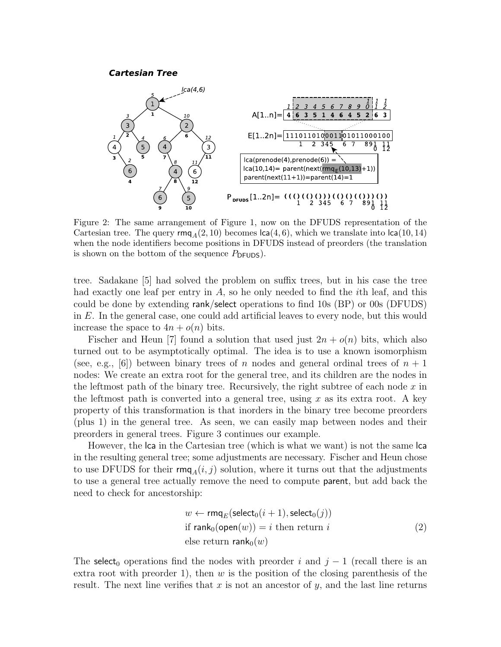#### **Cartesian Tree**



Figure 2: The same arrangement of Figure 1, now on the DFUDS representation of the Cartesian tree. The query  $\text{rm}_A(2, 10)$  becomes  $\text{lca}(4, 6)$ , which we translate into  $\text{lca}(10, 14)$ when the node identifiers become positions in DFUDS instead of preorders (the translation is shown on the bottom of the sequence  $P_{\text{DFUDS}}$ ).

tree. Sadakane [5] had solved the problem on suffix trees, but in his case the tree had exactly one leaf per entry in  $A$ , so he only needed to find the *i*th leaf, and this could be done by extending rank/select operations to find 10s (BP) or 00s (DFUDS) in  $E$ . In the general case, one could add artificial leaves to every node, but this would increase the space to  $4n + o(n)$  bits.

Fischer and Heun [7] found a solution that used just  $2n + o(n)$  bits, which also turned out to be asymptotically optimal. The idea is to use a known isomorphism (see, e.g., [6]) between binary trees of n nodes and general ordinal trees of  $n + 1$ nodes: We create an extra root for the general tree, and its children are the nodes in the leftmost path of the binary tree. Recursively, the right subtree of each node  $x$  in the leftmost path is converted into a general tree, using x as its extra root. A key property of this transformation is that inorders in the binary tree become preorders (plus 1) in the general tree. As seen, we can easily map between nodes and their preorders in general trees. Figure 3 continues our example.

However, the lca in the Cartesian tree (which is what we want) is not the same lca in the resulting general tree; some adjustments are necessary. Fischer and Heun chose to use DFUDS for their  $\text{rm}_{A}(i, j)$  solution, where it turns out that the adjustments to use a general tree actually remove the need to compute parent, but add back the need to check for ancestorship:

$$
w \leftarrow \text{rmq}_E(\text{select}_0(i + 1), \text{select}_0(j))
$$
  
if  $\text{rank}_0(\text{open}(w)) = i$  then return  $i$  (2)  
else return  $\text{rank}_0(w)$ 

The select<sub>0</sub> operations find the nodes with preorder i and  $j - 1$  (recall there is an extra root with preorder 1), then w is the position of the closing parenthesis of the result. The next line verifies that x is not an ancestor of  $y$ , and the last line returns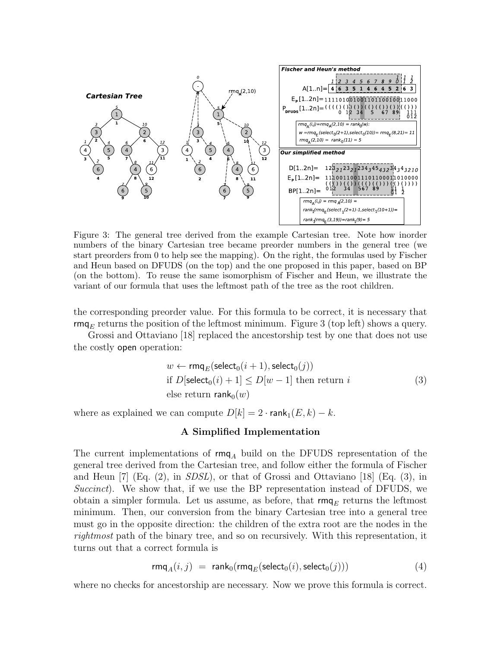

Figure 3: The general tree derived from the example Cartesian tree. Note how inorder numbers of the binary Cartesian tree became preorder numbers in the general tree (we start preorders from 0 to help see the mapping). On the right, the formulas used by Fischer and Heun based on DFUDS (on the top) and the one proposed in this paper, based on BP (on the bottom). To reuse the same isomorphism of Fischer and Heun, we illustrate the variant of our formula that uses the leftmost path of the tree as the root children.

the corresponding preorder value. For this formula to be correct, it is necessary that rmq<sub>E</sub> returns the position of the leftmost minimum. Figure 3 (top left) shows a query.

Grossi and Ottaviano [18] replaced the ancestorship test by one that does not use the costly open operation:

$$
w \leftarrow \text{rmq}_E(\text{select}_0(i+1), \text{select}_0(j))
$$
  
if  $D[\text{select}_0(i) + 1] \le D[w - 1]$  then return  $i$  (3)  
else return  $\text{rank}_0(w)$ 

where as explained we can compute  $D[k] = 2 \cdot \text{rank}_1(E, k) - k$ .

## A Simplified Implementation

The current implementations of  $\mathsf{rm}_{A}$  build on the DFUDS representation of the general tree derived from the Cartesian tree, and follow either the formula of Fischer and Heun  $[7]$  (Eq. (2), in *SDSL*), or that of Grossi and Ottaviano  $[18]$  (Eq. (3), in Succinct). We show that, if we use the BP representation instead of DFUDS, we obtain a simpler formula. Let us assume, as before, that  $\mathsf{rmq}_E$  returns the leftmost minimum. Then, our conversion from the binary Cartesian tree into a general tree must go in the opposite direction: the children of the extra root are the nodes in the rightmost path of the binary tree, and so on recursively. With this representation, it turns out that a correct formula is

$$
rmq_A(i,j) = rank_0(rmq_E(\text{select}_0(i), \text{select}_0(j)))
$$
\n(4)

where no checks for ancestorship are necessary. Now we prove this formula is correct.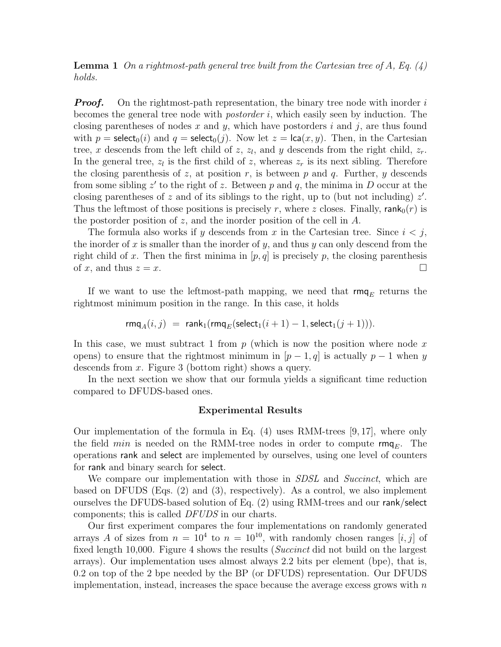**Lemma 1** On a rightmost-path general tree built from the Cartesian tree of A, Eq.  $(4)$ holds.

**Proof.** On the rightmost-path representation, the binary tree node with inorder i becomes the general tree node with postorder i, which easily seen by induction. The closing parentheses of nodes x and y, which have postorders i and j, are thus found with  $p = \text{select}_0(i)$  and  $q = \text{select}_0(j)$ . Now let  $z = \text{lca}(x, y)$ . Then, in the Cartesian tree, x descends from the left child of  $z$ ,  $z_l$ , and y descends from the right child,  $z_r$ . In the general tree,  $z_l$  is the first child of z, whereas  $z_r$  is its next sibling. Therefore the closing parenthesis of  $z$ , at position  $r$ , is between  $p$  and  $q$ . Further,  $y$  descends from some sibling  $z'$  to the right of z. Between p and q, the minima in D occur at the closing parentheses of z and of its siblings to the right, up to (but not including)  $z'$ . Thus the leftmost of those positions is precisely r, where z closes. Finally,  $rank_0(r)$  is the postorder position of z, and the inorder position of the cell in  $A$ .

The formula also works if y descends from x in the Cartesian tree. Since  $i < j$ , the inorder of x is smaller than the inorder of y, and thus y can only descend from the right child of x. Then the first minima in  $[p, q]$  is precisely p, the closing parenthesis of x, and thus  $z = x$ .

If we want to use the leftmost-path mapping, we need that  $\mathsf{rm}_{E}$  returns the rightmost minimum position in the range. In this case, it holds

$$
\mathsf{rmq}_A(i,j) \ = \ \mathsf{rank}_1(\mathsf{rmq}_E(\mathsf{select}_1(i+1)-1, \mathsf{select}_1(j+1))).
$$

In this case, we must subtract 1 from  $p$  (which is now the position where node  $x$ opens) to ensure that the rightmost minimum in  $[p-1,q]$  is actually  $p-1$  when y descends from x. Figure 3 (bottom right) shows a query.

In the next section we show that our formula yields a significant time reduction compared to DFUDS-based ones.

#### Experimental Results

Our implementation of the formula in Eq.  $(4)$  uses RMM-trees [9,17], where only the field *min* is needed on the RMM-tree nodes in order to compute  $\mathsf{rmq}_E$ . The operations rank and select are implemented by ourselves, using one level of counters for rank and binary search for select.

We compare our implementation with those in *SDSL* and *Succinct*, which are based on DFUDS (Eqs. (2) and (3), respectively). As a control, we also implement ourselves the DFUDS-based solution of Eq. (2) using RMM-trees and our rank/select components; this is called DFUDS in our charts.

Our first experiment compares the four implementations on randomly generated arrays A of sizes from  $n = 10^4$  to  $n = 10^{10}$ , with randomly chosen ranges [i, j] of fixed length 10,000. Figure 4 shows the results (Succinct did not build on the largest arrays). Our implementation uses almost always 2.2 bits per element (bpe), that is, 0.2 on top of the 2 bpe needed by the BP (or DFUDS) representation. Our DFUDS implementation, instead, increases the space because the average excess grows with  $n$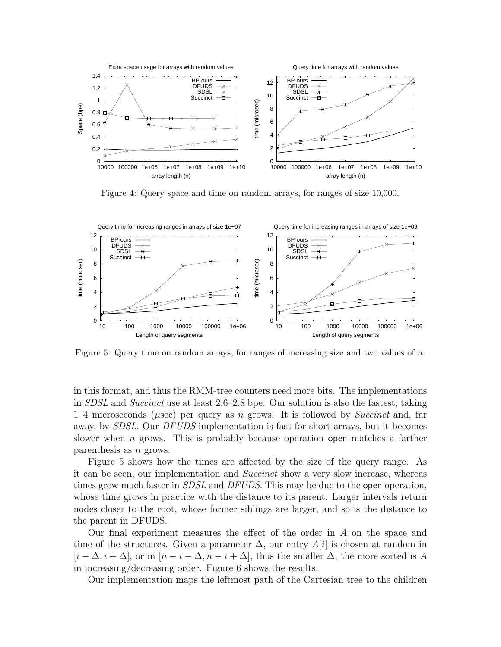

Figure 4: Query space and time on random arrays, for ranges of size 10,000.



Figure 5: Query time on random arrays, for ranges of increasing size and two values of n.

in this format, and thus the RMM-tree counters need more bits. The implementations in SDSL and Succinct use at least 2.6–2.8 bpe. Our solution is also the fastest, taking  $1-4$  microseconds ( $\mu$ sec) per query as n grows. It is followed by *Succinct* and, far away, by SDSL. Our DFUDS implementation is fast for short arrays, but it becomes slower when *n* grows. This is probably because operation open matches a farther parenthesis as n grows.

Figure 5 shows how the times are affected by the size of the query range. As it can be seen, our implementation and Succinct show a very slow increase, whereas times grow much faster in *SDSL* and *DFUDS*. This may be due to the open operation, whose time grows in practice with the distance to its parent. Larger intervals return nodes closer to the root, whose former siblings are larger, and so is the distance to the parent in DFUDS.

Our final experiment measures the effect of the order in A on the space and time of the structures. Given a parameter  $\Delta$ , our entry A[i] is chosen at random in  $[i - \Delta, i + \Delta]$ , or in  $[n - i - \Delta, n - i + \Delta]$ , thus the smaller  $\Delta$ , the more sorted is A in increasing/decreasing order. Figure 6 shows the results.

Our implementation maps the leftmost path of the Cartesian tree to the children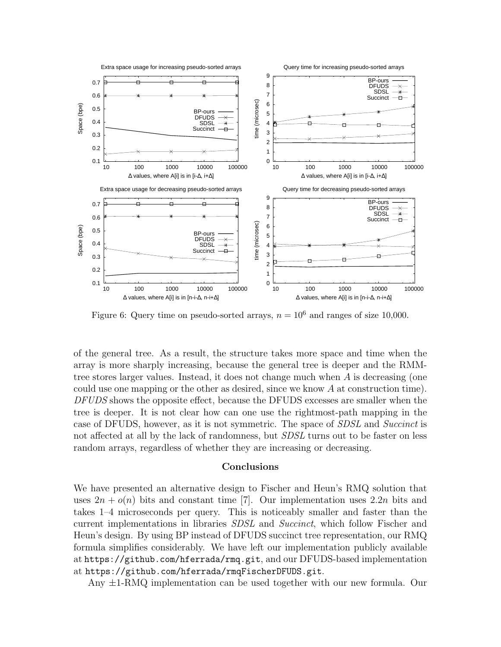

Figure 6: Query time on pseudo-sorted arrays,  $n = 10^6$  and ranges of size 10,000.

of the general tree. As a result, the structure takes more space and time when the array is more sharply increasing, because the general tree is deeper and the RMMtree stores larger values. Instead, it does not change much when  $A$  is decreasing (one could use one mapping or the other as desired, since we know  $A$  at construction time). DFUDS shows the opposite effect, because the DFUDS excesses are smaller when the tree is deeper. It is not clear how can one use the rightmost-path mapping in the case of DFUDS, however, as it is not symmetric. The space of SDSL and Succinct is not affected at all by the lack of randomness, but *SDSL* turns out to be faster on less random arrays, regardless of whether they are increasing or decreasing.

### Conclusions

We have presented an alternative design to Fischer and Heun's RMQ solution that uses  $2n + o(n)$  bits and constant time [7]. Our implementation uses  $2.2n$  bits and takes 1–4 microseconds per query. This is noticeably smaller and faster than the current implementations in libraries SDSL and Succinct, which follow Fischer and Heun's design. By using BP instead of DFUDS succinct tree representation, our RMQ formula simplifies considerably. We have left our implementation publicly available at https://github.com/hferrada/rmq.git, and our DFUDS-based implementation at https://github.com/hferrada/rmqFischerDFUDS.git.

Any ±1-RMQ implementation can be used together with our new formula. Our